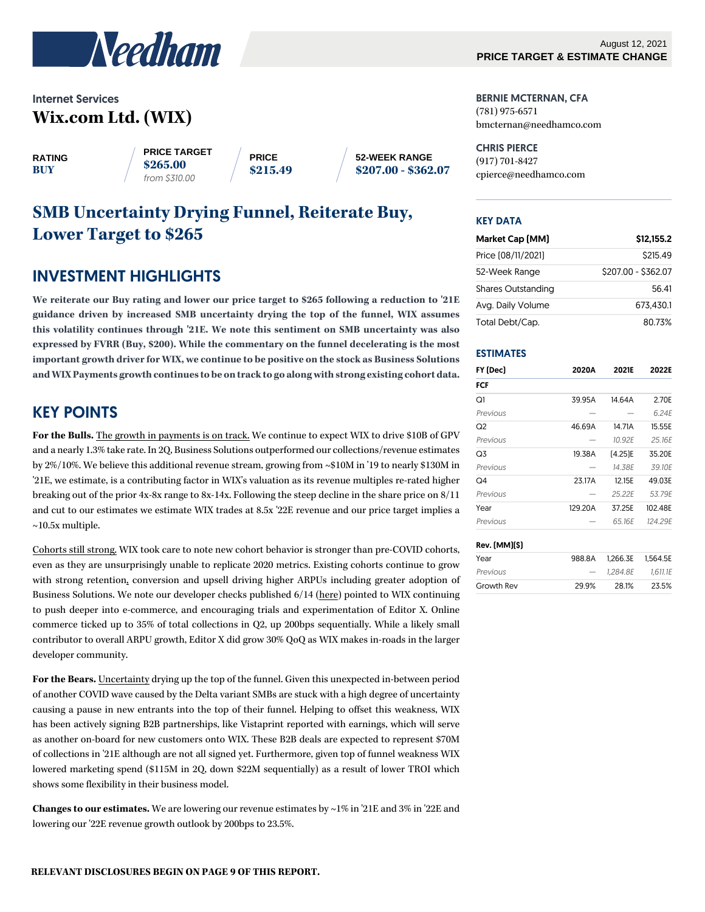

# Internet Services **Wix.com Ltd. (WIX)**

**RATING BUY**

**PRICE TARGET \$265.00** *from \$310.00*

**PRICE \$215.49** **52-WEEK RANGE \$207.00 - \$362.07**

# **SMB Uncertainty Drying Funnel, Reiterate Buy, Lower Target to \$265**

# INVESTMENT HIGHLIGHTS

**We reiterate our Buy rating and lower our price target to \$265 following a reduction to '21E guidance driven by increased SMB uncertainty drying the top of the funnel, WIX assumes this volatility continues through '21E. We note this sentiment on SMB uncertainty was also expressed by FVRR (Buy, \$200). While the commentary on the funnel decelerating is the most important growth driver for WIX, we continue to be positive on the stock as Business Solutions and WIX Payments growth continues to be on track to go along with strong existing cohort data.**

# KEY POINTS

**For the Bulls.** The growth in payments is on track. We continue to expect WIX to drive \$10B of GPV and a nearly 1.3% take rate. In 2Q, Business Solutions outperformed our collections/revenue estimates by 2%/10%. We believe this additional revenue stream, growing from ~\$10M in '19 to nearly \$130M in '21E, we estimate, is a contributing factor in WIX's valuation as its revenue multiples re-rated higher breaking out of the prior 4x-8x range to 8x-14x. Following the steep decline in the share price on 8/11 and cut to our estimates we estimate WIX trades at 8.5x '22E revenue and our price target implies a  $\sim$ 10.5x multiple.

Cohorts still strong. WIX took care to note new cohort behavior is stronger than pre-COVID cohorts, even as they are unsurprisingly unable to replicate 2020 metrics. Existing cohorts continue to grow with strong retention, conversion and upsell driving higher ARPUs including greater adoption of Business Solutions. We note our developer checks published 6/14 [\(here\)](https://needham.bluematrix.com/sellside/EmailDocViewer?mime=pdf&co=Needham&id=replaceme@bluematrix.com&source=mail&encrypt=fabb840b-92a5-4a2e-bbf0-6829ba016ceb) pointed to WIX continuing to push deeper into e-commerce, and encouraging trials and experimentation of Editor X. Online commerce ticked up to 35% of total collections in Q2, up 200bps sequentially. While a likely small contributor to overall ARPU growth, Editor X did grow 30% QoQ as WIX makes in-roads in the larger developer community.

**For the Bears.** Uncertainty drying up the top of the funnel. Given this unexpected in-between period of another COVID wave caused by the Delta variant SMBs are stuck with a high degree of uncertainty causing a pause in new entrants into the top of their funnel. Helping to offset this weakness, WIX has been actively signing B2B partnerships, like Vistaprint reported with earnings, which will serve as another on-board for new customers onto WIX. These B2B deals are expected to represent \$70M of collections in '21E although are not all signed yet. Furthermore, given top of funnel weakness WIX lowered marketing spend (\$115M in 2Q, down \$22M sequentially) as a result of lower TROI which shows some flexibility in their business model.

**Changes to our estimates.** We are lowering our revenue estimates by ~1% in '21E and 3% in '22E and lowering our '22E revenue growth outlook by 200bps to 23.5%.

BERNIE MCTERNAN, CFA (781) 975-6571 bmcternan@needhamco.com

CHRIS PIERCE (917) 701-8427 cpierce@needhamco.com

#### KEY DATA

| Market Cap [MM]           | \$12,155.2          |
|---------------------------|---------------------|
| Price (08/11/2021)        | S215.49             |
| 52-Week Range             | \$207.00 - \$362.07 |
| <b>Shares Outstanding</b> | 56.41               |
| Avg. Daily Volume         | 673.430.1           |
| Total Debt/Cap.           | 8073%               |

#### ESTIMATES

| FY (Dec) | 2020A   | 2021E   | 2022E   |  |  |
|----------|---------|---------|---------|--|--|
| FCF      |         |         |         |  |  |
| Q1       | 39.95A  | 14.64A  | 2.70E   |  |  |
| Previous |         |         | 6.24E   |  |  |
| Q2       | 46.69A  | 14.71A  | 15.55E  |  |  |
| Previous |         | 10.92E  | 25.16E  |  |  |
| Q3       | 19.38A  | [4.25]E | 35.20E  |  |  |
| Previous |         | 14.38E  | 39.10E  |  |  |
| Q4       | 23.17A  | 12.15E  | 49.03E  |  |  |
| Previous |         | 25.22E  | 53.79E  |  |  |
| Year     | 129.20A | 37.25E  | 102.48E |  |  |
| Previous |         | 65.16E  | 124.29E |  |  |
|          |         |         |         |  |  |

#### Rev. (MM)(\$)

| Year       |       | 988.8A 1.266.3E 1.564.5E |       |
|------------|-------|--------------------------|-------|
| Previous   |       | $-$ 1.284.8E 1.611.1E    |       |
| Growth Rev | 29.9% | 28.1%                    | 23.5% |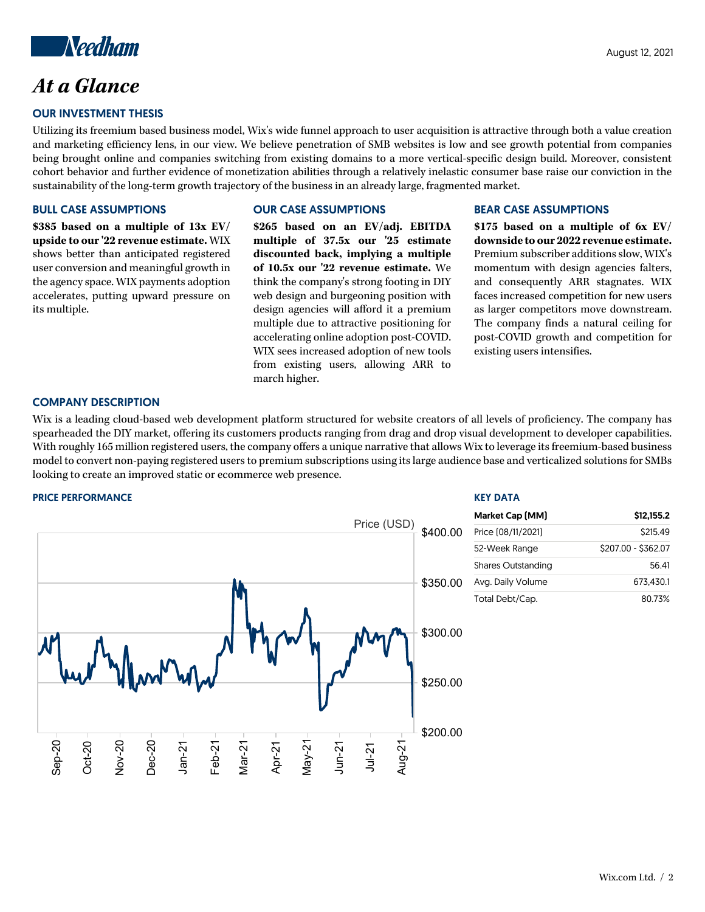

# *At a Glance*

## OUR INVESTMENT THESIS

Utilizing its freemium based business model, Wix's wide funnel approach to user acquisition is attractive through both a value creation and marketing efficiency lens, in our view. We believe penetration of SMB websites is low and see growth potential from companies being brought online and companies switching from existing domains to a more vertical-specific design build. Moreover, consistent cohort behavior and further evidence of monetization abilities through a relatively inelastic consumer base raise our conviction in the sustainability of the long-term growth trajectory of the business in an already large, fragmented market.

#### BULL CASE ASSUMPTIONS

**\$385 based on a multiple of 13x EV/ upside to our '22 revenue estimate.** WIX shows better than anticipated registered user conversion and meaningful growth in the agency space. WIX payments adoption accelerates, putting upward pressure on its multiple.

## OUR CASE ASSUMPTIONS

**\$265 based on an EV/adj. EBITDA multiple of 37.5x our '25 estimate discounted back, implying a multiple of 10.5x our '22 revenue estimate.** We think the company's strong footing in DIY web design and burgeoning position with design agencies will afford it a premium multiple due to attractive positioning for accelerating online adoption post-COVID. WIX sees increased adoption of new tools from existing users, allowing ARR to march higher.

#### BEAR CASE ASSUMPTIONS

KEY DATA

**\$175 based on a multiple of 6x EV/ downside to our 2022 revenue estimate.** Premium subscriber additions slow, WIX's momentum with design agencies falters, and consequently ARR stagnates. WIX faces increased competition for new users as larger competitors move downstream. The company finds a natural ceiling for post-COVID growth and competition for existing users intensifies.

#### COMPANY DESCRIPTION

Wix is a leading cloud-based web development platform structured for website creators of all levels of proficiency. The company has spearheaded the DIY market, offering its customers products ranging from drag and drop visual development to developer capabilities. With roughly 165 million registered users, the company offers a unique narrative that allows Wix to leverage its freemium-based business model to convert non-paying registered users to premium subscriptions using its large audience base and verticalized solutions for SMBs looking to create an improved static or ecommerce web presence.

#### PRICE PERFORMANCE

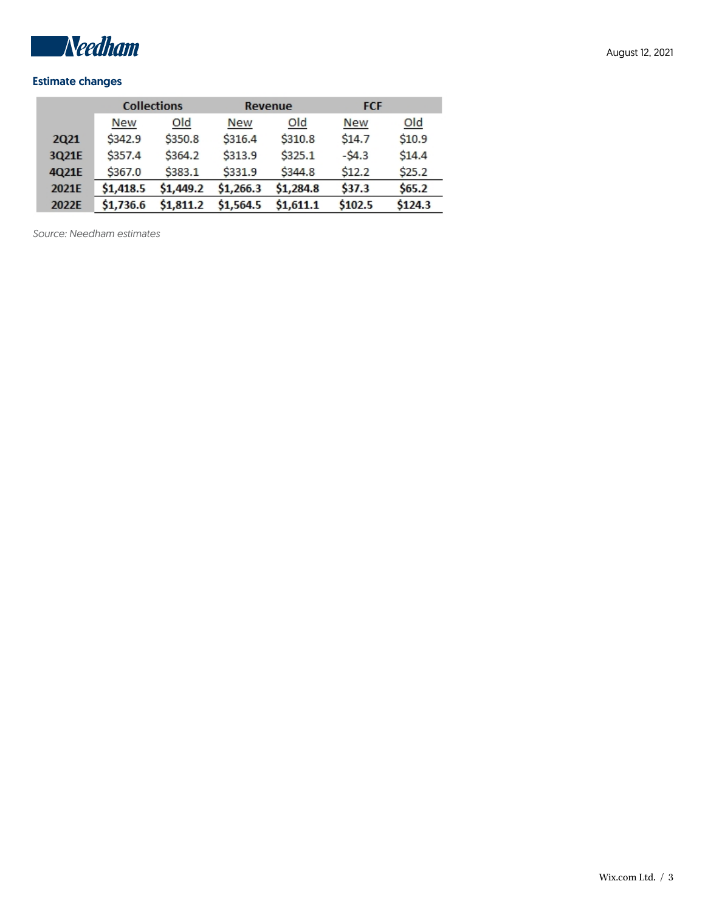

## Estimate changes

|                  |            | <b>Collections</b> |            | Revenue   | <b>FCF</b> |         |  |
|------------------|------------|--------------------|------------|-----------|------------|---------|--|
|                  | <b>New</b> | Old                | <b>New</b> | Old       | <b>New</b> | Old     |  |
| 2Q <sub>21</sub> | \$342.9    | \$350.8            | \$316.4    | \$310.8   | \$14.7     | \$10.9  |  |
| 3Q21E            | \$357.4    | \$364.2            | \$313.9    | \$325.1   | $-54.3$    | \$14.4  |  |
| 4Q21E            | \$367.0    | \$383.1            | \$331.9    | \$344.8   | \$12.2     | \$25.2  |  |
| 2021E            | \$1,418.5  | \$1,449.2          | \$1,266.3  | \$1,284.8 | \$37.3     | \$65.2  |  |
| 2022E            | \$1,736.6  | \$1,811.2          | \$1,564.5  | \$1,611.1 | \$102.5    | \$124.3 |  |

*Source: Needham estimates*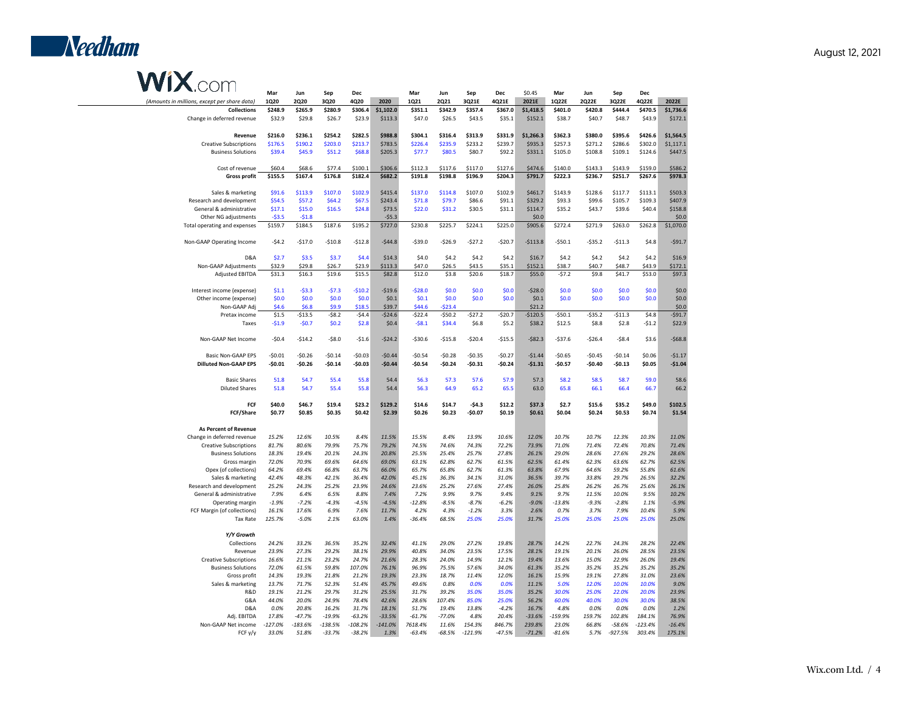

# **WIX**.com

| $\sim$                                       | Mar         | Jun         | Sep       | Dec       |           | Mar      | Jun        | Sep       | Dec      | \$0.45     | Mar        | Jun        | Sep       | <b>Dec</b> |            |
|----------------------------------------------|-------------|-------------|-----------|-----------|-----------|----------|------------|-----------|----------|------------|------------|------------|-----------|------------|------------|
| (Amounts in millions, except per share data) | <b>1Q20</b> | <b>2Q20</b> | 3Q20      | 4Q20      | 2020      | 1Q21     | 2Q21       | 3Q21E     | 4Q21E    | 2021E      | 1Q22E      | 2Q22E      | 3Q22E     | 4Q22E      | 2022E      |
| <b>Collections</b>                           | \$248.9     | \$265.9     | \$280.9   | \$306.4   | \$1,102.0 | \$351.1  | \$342.9    | \$357.4   | \$367.0  | \$1,418.5  | \$401.0    | \$420.8    | \$444.4   | \$470.5    | \$1,736.6  |
| Change in deferred revenue                   | \$32.9      | \$29.8      | \$26.7    | \$23.9    | \$113.3   | \$47.0   | \$26.5     | \$43.5    | \$35.1   | \$152.1    | \$38.7     | \$40.7     | \$48.7    | \$43.9     | \$172.1    |
|                                              |             |             |           |           |           |          |            |           |          |            |            |            |           |            |            |
|                                              |             |             |           | \$282.5   | \$988.8   |          |            | \$313.9   |          |            |            |            |           | \$426.6    |            |
| Revenue                                      | \$216.0     | \$236.1     | \$254.2   |           |           | \$304.1  | \$316.4    |           | \$331.9  | \$1,266.3  | \$362.3    | \$380.0    | \$395.6   |            | \$1,564.5  |
| <b>Creative Subscriptions</b>                | \$176.5     | \$190.2     | \$203.0   | \$213.7   | \$783.5   | \$226.4  | \$235.9    | \$233.2   | \$239.7  | \$935.3    | \$257.3    | \$271.2    | \$286.6   | \$302.0    | \$1,117.1  |
| <b>Business Solutions</b>                    | \$39.4      | \$45.9      | \$51.2    | \$68.8    | \$205.3   | \$77.7   | \$80.5     | \$80.7    | \$92.2   | \$331.1    | \$105.0    | \$108.8    | \$109.1   | \$124.6    | \$447.5    |
|                                              |             |             |           |           |           |          |            |           |          |            |            |            |           |            |            |
| Cost of revenue                              | \$60.4      | \$68.6      | \$77.4    | \$100.1   | \$306.6   | \$112.3  | \$117.6    | \$117.0   | \$127.6  | \$474.6    | \$140.0    | \$143.3    | \$143.9   | \$159.0    | \$586.2    |
| <b>Gross profit</b>                          | \$155.5     | \$167.4     | \$176.8   | \$182.4   | \$682.2   | \$191.8  | \$198.8    | \$196.9   | \$204.3  | \$791.7    | \$222.3    | \$236.7    | \$251.7   | \$267.6    | \$978.3    |
|                                              |             |             |           |           |           |          |            |           |          |            |            |            |           |            |            |
| Sales & marketing                            | \$91.6      | \$113.9     | \$107.0   | \$102.9   | \$415.4   | \$137.0  | \$114.8    | \$107.0   | \$102.9  | \$461.7    | \$143.9    | \$128.6    | \$117.7   | \$113.1    | \$503.3    |
| Research and development                     | \$54.5      | \$57.2      | \$64.2    | \$67.5    | \$243.4   | \$71.8   | \$79.7     | \$86.6    | \$91.1   | \$329.2    | \$93.3     | \$99.6     | \$105.7   | \$109.3    | \$407.9    |
| General & administrative                     | \$17.1      | \$15.0      | \$16.5    | \$24.8    | \$73.5    | \$22.0   | \$31.2     | \$30.5    | \$31.1   | \$114.7    | \$35.2     | \$43.7     | \$39.6    | \$40.4     | \$158.8    |
| Other NG adjustments                         | $-53.5$     | $-51.8$     |           |           | $-$5.3$   |          |            |           |          | \$0.0\$    |            |            |           |            | \$0.0\$    |
| Total operating and expenses                 | \$159.7     | \$184.5     | \$187.6   | \$195.2   | \$727.0   | \$230.8  | \$225.7    | \$224.1   | \$225.0  | \$905.6    | \$272.4    | \$271.9    | \$263.0   | \$262.8    | \$1,070.0  |
|                                              |             |             |           |           |           |          |            |           |          |            |            |            |           |            |            |
| Non-GAAP Operating Income                    | $-54.2$     | $-$17.0$    |           |           | $-$44.8$  |          | $-$26.9$   | $-527.2$  | $-$20.7$ | $-$113.8$  | $-$50.1$   | $-$ \$35.2 | $-$11.3$  |            | $-$91.7$   |
|                                              |             |             | $-$10.8$  | $-$12.8$  |           | $-$39.0$ |            |           |          |            |            |            |           | \$4.8      |            |
|                                              |             |             |           |           |           |          |            |           |          |            |            |            |           |            |            |
| D&A                                          | \$2.7       | \$3.5       | \$3.7     | \$4.4     | \$14.3    | \$4.0    | \$4.2      | \$4.2     | \$4.2    | \$16.7     | \$4.2      | \$4.2\$    | \$4.2     | \$4.2      | \$16.9     |
| Non-GAAP Adjustments                         | \$32.9      | \$29.8      | \$26.7    | \$23.9    | \$113.3   | \$47.0   | \$26.5     | \$43.5    | \$35.1   | \$152.1    | \$38.7     | \$40.7     | \$48.7    | \$43.9     | \$172.1    |
| Adjusted EBITDA                              | \$31.3      | \$16.3      | \$19.6    | \$15.5    | \$82.8    | \$12.0   | \$3.8      | \$20.6    | \$18.7   | \$55.0     | $-57.2$    | \$9.8      | \$41.7    | \$53.0     | \$97.3     |
|                                              |             |             |           |           |           |          |            |           |          |            |            |            |           |            |            |
| Interest income (expense)                    | \$1.1       | $-53.3$     | $-57.3$   | $-$10.2$  | $-$19.6$  | $-528.0$ | \$0.0      | \$0.0     | \$0.0    | $-$28.0$   | \$0.0      | \$0.0      | \$0.0     | \$0.0      | \$0.0      |
| Other income (expense)                       | \$0.0       | \$0.0       | \$0.0\$   | \$0.0     | \$0.1     | \$0.1    | \$0.0      | \$0.0     | \$0.0    | \$0.1      | \$0.0      | \$0.0      | \$0.0     | \$0.0      | \$0.0      |
| Non-GAAP Adj                                 | \$4.6       | \$6.8       | \$9.9     | \$18.5    | \$39.7    | \$44.6   | $-523.4$   |           |          | \$21.2     |            |            |           |            | \$0.0\$    |
| Pretax income                                | \$1.5       | $-$13.5$    | $-$ \$8.2 | $-54.4$   | $-$24.6$  | $-$22.4$ | $-$ \$50.2 | $-527.2$  | $-$20.7$ | $-$120.5$  | $-$ \$50.1 | $-$35.2$   | \$11.3    | \$4.8      | $-$ \$91.7 |
| Taxes                                        | $-51.9$     | $-50.7$     | \$0.2     | \$2.8     | \$0.4     | $-58.1$  | \$34.4     | \$6.8     | \$5.2    | \$38.2     | \$12.5     | \$8.8      | \$2.8     | $-51.2$    | \$22.9     |
|                                              |             |             |           |           |           |          |            |           |          |            |            |            |           |            |            |
| Non-GAAP Net Income                          |             |             |           |           |           |          |            |           |          |            |            |            |           |            |            |
|                                              | $-50.4$     | $-$14.2$    | $-58.0$   | $-51.6$   | $-524.2$  | $-530.6$ | $-515.8$   | $-520.4$  | $-$15.5$ | $-$ \$82.3 | $-$37.6$   | $-526.4$   | $-58.4$   | \$3.6      | $-568.8$   |
|                                              |             |             |           |           |           |          |            |           |          |            |            |            |           |            |            |
| Basic Non-GAAP EPS                           | $-50.01$    | $-50.26$    | $-50.14$  | $-50.03$  | $-50.44$  | $-50.54$ | $-50.28$   | $-50.35$  | $-50.27$ | $-51.44$   | $-50.65$   | $-50.45$   | $-50.14$  | \$0.06     | $-51.17$   |
| <b>Dilluted Non-GAAP EPS</b>                 | $-$0.01$    | -\$0.26     | $-$0.14$  | $-$0.03$  | $-$0.44$  | $-$0.54$ | -\$0.24    | -\$0.31   | -\$0.24  | $-$1.31$   | -\$0.57    | -\$0.40    | -\$0.13   | \$0.05     | $-$1.04$   |
|                                              |             |             |           |           |           |          |            |           |          |            |            |            |           |            |            |
| <b>Basic Shares</b>                          | 51.8        | 54.7        | 55.4      | 55.8      | 54.4      | 56.3     | 57.3       | 57.6      | 57.9     | 57.3       | 58.2       | 58.5       | 58.7      | 59.0       | 58.6       |
| <b>Diluted Shares</b>                        | 51.8        | 54.7        | 55.4      | 55.8      | 54.4      | 56.3     | 64.9       | 65.2      | 65.5     | 63.0       | 65.8       | 66.1       | 66.4      | 66.7       | 66.2       |
|                                              |             |             |           |           |           |          |            |           |          |            |            |            |           |            |            |
| FCF                                          | \$40.0      | \$46.7      | \$19.4    | \$23.2    | \$129.2   | \$14.6   | \$14.7     | -\$4.3    | \$12.2   | \$37.3     | \$2.7      | \$15.6     | \$35.2    | \$49.0     | \$102.5    |
| FCF/Share                                    | \$0.77      | \$0.85      | \$0.35    | \$0.42    | \$2.39    | \$0.26   | \$0.23     | $-$0.07$  | \$0.19   | \$0.61     | \$0.04     | \$0.24     | \$0.53    | \$0.74     | \$1.54     |
|                                              |             |             |           |           |           |          |            |           |          |            |            |            |           |            |            |
| <b>As Percent of Revenue</b>                 |             |             |           |           |           |          |            |           |          |            |            |            |           |            |            |
| Change in deferred revenue                   | 15.2%       | 12.6%       | 10.5%     | 8.4%      | 11.5%     | 15.5%    | 8.4%       | 13.9%     | 10.6%    | 12.0%      | 10.7%      | 10.7%      | 12.3%     | 10.3%      | 11.0%      |
|                                              |             |             |           |           |           |          |            |           |          |            |            |            |           |            |            |
| <b>Creative Subscriptions</b>                | 81.7%       | 80.6%       | 79.9%     | 75.7%     | 79.2%     | 74.5%    | 74.6%      | 74.3%     | 72.2%    | 73.9%      | 71.0%      | 71.4%      | 72.4%     | 70.8%      | 71.4%      |
| <b>Business Solutions</b>                    | 18.3%       | 19.4%       | 20.1%     | 24.3%     | 20.8%     | 25.5%    | 25.4%      | 25.7%     | 27.8%    | 26.1%      | 29.0%      | 28.6%      | 27.6%     | 29.2%      | 28.6%      |
| Gross margin                                 | 72.0%       | 70.9%       | 69.6%     | 64.6%     | 69.0%     | 63.1%    | 62.8%      | 62.7%     | 61.5%    | 62.5%      | 61.4%      | 62.3%      | 63.6%     | 62.7%      | 62.5%      |
| Opex (of collections)                        | 64.2%       | 69.4%       | 66.8%     | 63.7%     | 66.0%     | 65.7%    | 65.8%      | 62.7%     | 61.3%    | 63.8%      | 67.9%      | 64.6%      | 59.2%     | 55.8%      | 61.6%      |
| Sales & marketing                            | 42.4%       | 48.3%       | 42.1%     | 36.4%     | 42.0%     | 45.1%    | 36.3%      | 34.1%     | 31.0%    | 36.5%      | 39.7%      | 33.8%      | 29.7%     | 26.5%      | 32.2%      |
| Research and development                     | 25.2%       | 24.3%       | 25.2%     | 23.9%     | 24.6%     | 23.6%    | 25.2%      | 27.6%     | 27.4%    | 26.0%      | 25.8%      | 26.2%      | 26.7%     | 25.6%      | 26.1%      |
| General & administrative                     | 7.9%        | 6.4%        | 6.5%      | 8.8%      | 7.4%      | 7.2%     | 9.9%       | 9.7%      | 9.4%     | 9.1%       | 9.7%       | 11.5%      | 10.0%     | 9.5%       | 10.2%      |
| Operating margin                             | $-1.9%$     | $-7.2%$     | $-4.3%$   | $-4.5%$   | $-4.5%$   | $-12.8%$ | $-8.5%$    | $-8.7%$   | $-6.2%$  | $-9.0%$    | $-13.8%$   | $-9.3%$    | $-2.8%$   | 1.1%       | $-5.9%$    |
| FCF Margin (of collections)                  | 16.1%       | 17.6%       | 6.9%      | 7.6%      | 11.7%     | 4.2%     | 4.3%       | $-1.2%$   | 3.3%     | 2.6%       | 0.7%       | 3.7%       | 7.9%      | 10.4%      | 5.9%       |
| Tax Rate                                     | 125.7%      | $-5.0%$     | 2.1%      | 63.0%     | 1.4%      | $-36.4%$ | 68.5%      | 25.0%     | 25.0%    | 31.7%      | 25.0%      | 25.0%      | 25.0%     | 25.0%      | 25.0%      |
|                                              |             |             |           |           |           |          |            |           |          |            |            |            |           |            |            |
| Y/Y Growth                                   |             |             |           |           |           |          |            |           |          |            |            |            |           |            |            |
|                                              |             |             |           |           |           |          |            |           |          |            |            |            |           |            |            |
| Collections                                  | 24.2%       | 33.2%       | 36.5%     | 35.2%     | 32.4%     | 41.1%    | 29.0%      | 27.2%     | 19.8%    | 28.7%      | 14.2%      | 22.7%      | 24.3%     | 28.2%      | 22.4%      |
| Revenue                                      | 23.9%       | 27.3%       | 29.2%     | 38.1%     | 29.9%     | 40.8%    | 34.0%      | 23.5%     | 17.5%    | 28.1%      | 19.1%      | 20.1%      | 26.0%     | 28.5%      | 23.5%      |
| <b>Creative Subscriptions</b>                | 16.6%       | 21.1%       | 23.2%     | 24.7%     | 21.6%     | 28.3%    | 24.0%      | 14.9%     | 12.1%    | 19.4%      | 13.6%      | 15.0%      | 22.9%     | 26.0%      | 19.4%      |
| <b>Business Solutions</b>                    | 72.0%       | 61.5%       | 59.8%     | 107.0%    | 76.1%     | 96.9%    | 75.5%      | 57.6%     | 34.0%    | 61.3%      | 35.2%      | 35.2%      | 35.2%     | 35.2%      | 35.2%      |
| Gross profit                                 | 14.3%       | 19.3%       | 21.8%     | 21.2%     | 19.3%     | 23.3%    | 18.7%      | 11.4%     | 12.0%    | 16.1%      | 15.9%      | 19.1%      | 27.8%     | 31.0%      | 23.6%      |
| Sales & marketing                            | 13.7%       | 71.7%       | 52.3%     | 51.4%     | 45.7%     | 49.6%    | 0.8%       | 0.0%      | 0.0%     | 11.1%      | 5.0%       | 12.0%      | 10.0%     | 10.0%      | 9.0%       |
| R&D                                          | 19.1%       | 21.2%       | 29.7%     | 31.2%     | 25.5%     | 31.7%    | 39.2%      | 35.0%     | 35.0%    | 35.2%      | 30.0%      | 25.0%      | 22.0%     | 20.0%      | 23.9%      |
| G&A                                          | 44.0%       | 20.0%       | 24.9%     | 78.4%     | 42.6%     | 28.6%    | 107.4%     | 85.0%     | 25.0%    | 56.2%      | 60.0%      | 40.0%      | 30.0%     | 30.0%      | 38.5%      |
| D&A                                          | 0.0%        | 20.8%       | 16.2%     | 31.7%     | 18.1%     | 51.7%    | 19.4%      | 13.8%     | $-4.2%$  | 16.7%      | 4.8%       | 0.0%       | 0.0%      | 0.0%       | 1.2%       |
| Adj. EBITDA                                  | 17.8%       | $-47.7%$    | $-19.9%$  | $-63.2%$  | $-33.5%$  | $-61.7%$ | $-77.0%$   | 4.8%      | 20.4%    | $-33.6%$   | $-159.9%$  | 159.7%     | 102.8%    | 184.1%     | 76.9%      |
| Non-GAAP Net income                          | $-127.0%$   | $-183.6%$   | $-138.5%$ | $-108.2%$ | $-141.0%$ | 7618.4%  | 11.6%      | 154.3%    | 846.7%   | 239.8%     | 23.0%      | 66.8%      | $-58.6%$  | $-123.4%$  | $-16.4%$   |
|                                              |             |             |           |           |           |          |            |           |          |            |            |            |           |            |            |
| FCF y/y                                      | 33.0%       | 51.8%       | $-33.7%$  | $-38.2%$  | 1.3%      | $-63.4%$ | $-68.5%$   | $-121.9%$ | -47.5%   | $-71.2%$   | $-81.6%$   | 5.7%       | $-927.5%$ | 303.4%     | 175.1%     |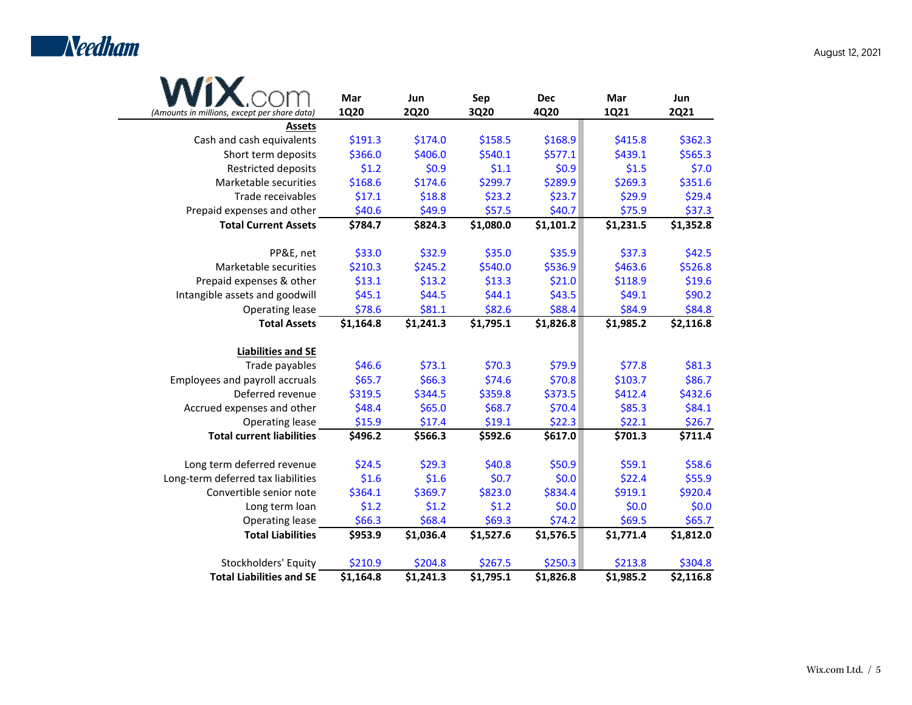

|                                              | Mar         | Jun         | Sep       | <b>Dec</b> | Mar       | Jun         |
|----------------------------------------------|-------------|-------------|-----------|------------|-----------|-------------|
| (Amounts in millions, except per share data) | <b>1Q20</b> | <b>2Q20</b> | 3Q20      | 4Q20       | 1Q21      | <b>2Q21</b> |
| <b>Assets</b>                                |             |             |           |            |           |             |
| Cash and cash equivalents                    | \$191.3     | \$174.0     | \$158.5   | \$168.9    | \$415.8   | \$362.3     |
| Short term deposits                          | \$366.0     | \$406.0     | \$540.1   | \$577.1    | \$439.1   | \$565.3     |
| Restricted deposits                          | \$1.2       | \$0.9       | \$1.1     | \$0.9      | \$1.5     | \$7.0       |
| Marketable securities                        | \$168.6     | \$174.6     | \$299.7   | \$289.9    | \$269.3   | \$351.6     |
| Trade receivables                            | \$17.1      | \$18.8      | \$23.2    | \$23.7     | \$29.9    | \$29.4      |
| Prepaid expenses and other                   | \$40.6      | \$49.9      | \$57.5    | \$40.7     | \$75.9    | \$37.3      |
| <b>Total Current Assets</b>                  | \$784.7     | \$824.3     | \$1,080.0 | \$1,101.2  | \$1,231.5 | \$1,352.8   |
| PP&E, net                                    | \$33.0      | \$32.9      | \$35.0    | \$35.9     | \$37.3    | \$42.5      |
| Marketable securities                        | \$210.3     | \$245.2     | \$540.0   | \$536.9    | \$463.6   | \$526.8     |
| Prepaid expenses & other                     | \$13.1      | \$13.2      | \$13.3    | \$21.0     | \$118.9   | \$19.6      |
| Intangible assets and goodwill               | \$45.1      | \$44.5      | \$44.1    | \$43.5     | \$49.1    | \$90.2      |
| Operating lease                              | \$78.6      | \$81.1      | \$82.6    | \$88.4     | \$84.9    | \$84.8      |
| <b>Total Assets</b>                          | \$1,164.8   | \$1,241.3   | \$1,795.1 | \$1,826.8  | \$1,985.2 | \$2,116.8   |
| <b>Liabilities and SE</b>                    |             |             |           |            |           |             |
| Trade payables                               | \$46.6      | \$73.1      | \$70.3    | \$79.9     | \$77.8    | \$81.3      |
| Employees and payroll accruals               | \$65.7      | \$66.3      | \$74.6    | \$70.8     | \$103.7   | \$86.7      |
| Deferred revenue                             | \$319.5     | \$344.5     | \$359.8   | \$373.5    | \$412.4   | \$432.6     |
| Accrued expenses and other                   | \$48.4      | \$65.0      | \$68.7    | \$70.4     | \$85.3    | \$84.1      |
| Operating lease                              | \$15.9      | \$17.4      | \$19.1    | \$22.3     | \$22.1    | \$26.7      |
| <b>Total current liabilities</b>             | \$496.2     | \$566.3     | \$592.6   | \$617.0    | \$701.3   | \$711.4     |
| Long term deferred revenue                   | \$24.5      | \$29.3      | \$40.8    | \$50.9     | \$59.1    | \$58.6      |
| Long-term deferred tax liabilities           | \$1.6       | \$1.6       | \$0.7     | \$0.0      | \$22.4    | \$55.9      |
| Convertible senior note                      | \$364.1     | \$369.7     | \$823.0   | \$834.4    | \$919.1   | \$920.4     |
| Long term loan                               | \$1.2       | \$1.2       | \$1.2     | \$0.0\$    | \$0.0     | \$0.0\$     |
| Operating lease                              | \$66.3      | \$68.4      | \$69.3    | \$74.2     | \$69.5    | \$65.7      |
| <b>Total Liabilities</b>                     | \$953.9     | \$1,036.4   | \$1,527.6 | \$1,576.5  | \$1,771.4 | \$1,812.0   |
| Stockholders' Equity                         | \$210.9     | \$204.8     | \$267.5   | \$250.3    | \$213.8   | \$304.8     |
| <b>Total Liabilities and SE</b>              | \$1,164.8   | \$1,241.3   | \$1,795.1 | \$1,826.8  | \$1,985.2 | \$2,116.8   |

August 12, 2021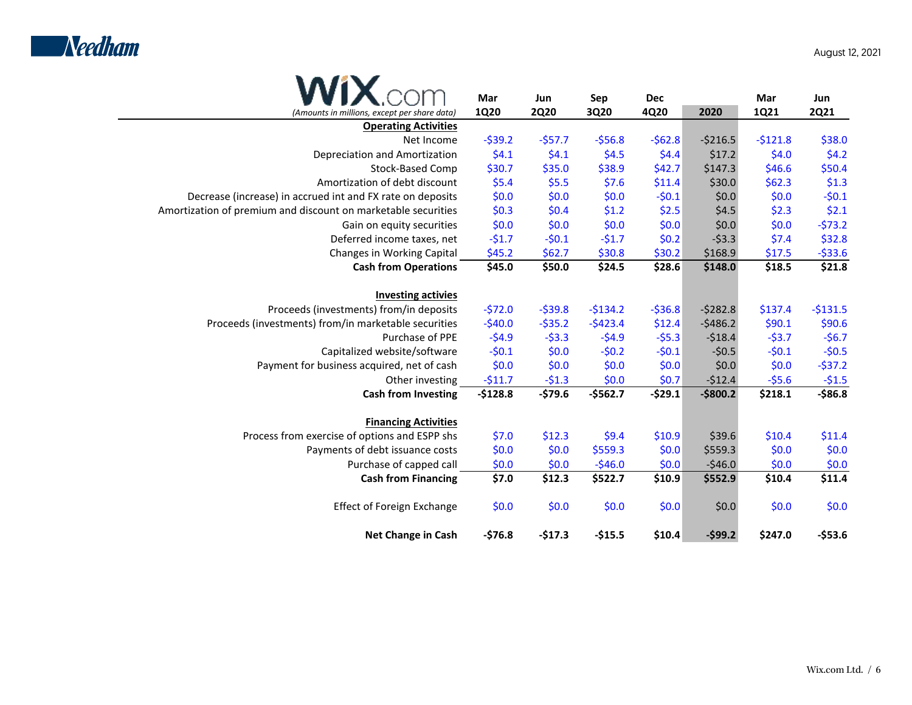

|                                                               | Mar         | Jun         | Sep       | <b>Dec</b> |             | Mar         | Jun         |
|---------------------------------------------------------------|-------------|-------------|-----------|------------|-------------|-------------|-------------|
| (Amounts in millions, except per share data)                  | <b>1Q20</b> | <b>2Q20</b> | 3Q20      | 4Q20       | 2020        | <b>1Q21</b> | <b>2Q21</b> |
| <b>Operating Activities</b>                                   |             |             |           |            |             |             |             |
| Net Income                                                    | $-539.2$    | $-557.7$    | $-556.8$  | $-562.8$   | $-5216.5$   | $-5121.8$   | \$38.0      |
| Depreciation and Amortization                                 | \$4.1       | \$4.1       | \$4.5     | \$4.4      | \$17.2      | \$4.0       | \$4.2       |
| Stock-Based Comp                                              | \$30.7      | \$35.0      | \$38.9    | \$42.7     | \$147.3     | \$46.6      | \$50.4      |
| Amortization of debt discount                                 | \$5.4       | \$5.5       | \$7.6     | \$11.4     | \$30.0      | \$62.3      | \$1.3       |
| Decrease (increase) in accrued int and FX rate on deposits    | \$0.0       | \$0.0       | \$0.0     | $-50.1$    | \$0.0\$     | \$0.0       | $-50.1$     |
| Amortization of premium and discount on marketable securities | \$0.3       | \$0.4       | \$1.2     | \$2.5      | \$4.5       | \$2.3       | \$2.1       |
| Gain on equity securities                                     | \$0.0       | \$0.0       | \$0.0     | \$0.0      | \$0.0\$     | \$0.0       | $-573.2$    |
| Deferred income taxes, net                                    | $-51.7$     | $-50.1$     | $-51.7$   | \$0.2\$    | $-53.3$     | \$7.4       | \$32.8      |
| Changes in Working Capital                                    | \$45.2      | \$62.7      | \$30.8    | \$30.2     | \$168.9     | \$17.5      | $-533.6$    |
| <b>Cash from Operations</b>                                   | \$45.0      | \$50.0      | \$24.5    | \$28.6     | \$148.0     | \$18.5      | \$21.8      |
| <b>Investing activies</b>                                     |             |             |           |            |             |             |             |
| Proceeds (investments) from/in deposits                       | $-572.0$    | $-539.8$    | $-5134.2$ | $-536.8$   | $-5282.8$   | \$137.4     | $-5131.5$   |
| Proceeds (investments) from/in marketable securities          | $-540.0$    | $-535.2$    | $-5423.4$ | \$12.4     | $-5486.2$   | \$90.1      | \$90.6      |
| Purchase of PPE                                               | $-54.9$     | $-53.3$     | $-54.9$   | $-55.3$    | $-518.4$    | $-53.7$     | $-56.7$     |
| Capitalized website/software                                  | $-50.1$     | \$0.0       | $-50.2$   | $-50.1$    | $-50.5$     | $-50.1$     | $-50.5$     |
| Payment for business acquired, net of cash                    | \$0.0       | \$0.0       | \$0.0     | \$0.0\$    | \$0.0\$     | \$0.0\$     | $-537.2$    |
| Other investing                                               | $-511.7$    | $-51.3$     | \$0.0     | \$0.7      | $-512.4$    | $-55.6$     | $-51.5$     |
| <b>Cash from Investing</b>                                    | $-$128.8$   | $-579.6$    | $-5562.7$ | $-529.1$   | $-$ \$800.2 | \$218.1     | $-$86.8$    |
| <b>Financing Activities</b>                                   |             |             |           |            |             |             |             |
| Process from exercise of options and ESPP shs                 | \$7.0       | \$12.3      | \$9.4     | \$10.9     | \$39.6      | \$10.4      | \$11.4      |
| Payments of debt issuance costs                               | \$0.0       | \$0.0       | \$559.3   | \$0.0\$    | \$5559.3    | \$0.0       | \$0.0\$     |
| Purchase of capped call                                       | \$0.0       | \$0.0       | $-546.0$  | \$0.0\$    | $-546.0$    | \$0.0       | \$0.0       |
| <b>Cash from Financing</b>                                    | \$7.0       | \$12.3      | \$522.7   | \$10.9     | \$552.9     | \$10.4      | \$11.4      |
| <b>Effect of Foreign Exchange</b>                             | \$0.0       | \$0.0       | \$0.0     | \$0.0      | \$0.0       | \$0.0       | \$0.0       |
| <b>Net Change in Cash</b>                                     | $-576.8$    | $-517.3$    | $-$15.5$  | \$10.4     | $-599.2$    | \$247.0     | $-553.6$    |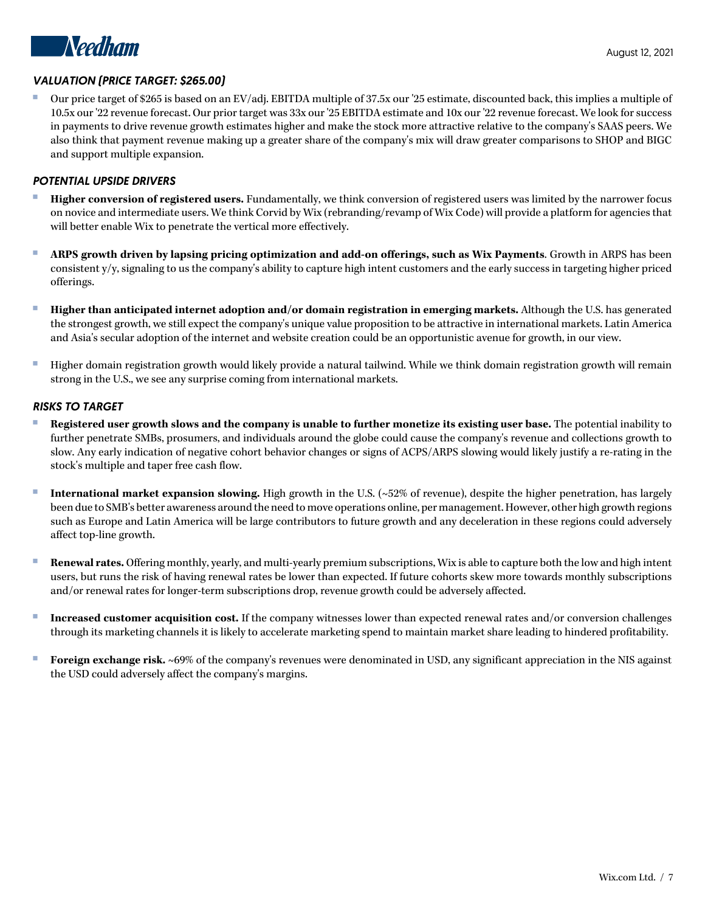

# *VALUATION (PRICE TARGET: \$265.00)*

Our price target of \$265 is based on an EV/adj. EBITDA multiple of 37.5x our '25 estimate, discounted back, this implies a multiple of 10.5x our '22 revenue forecast. Our prior target was 33x our '25 EBITDA estimate and 10x our '22 revenue forecast. We look for success in payments to drive revenue growth estimates higher and make the stock more attractive relative to the company's SAAS peers. We also think that payment revenue making up a greater share of the company's mix will draw greater comparisons to SHOP and BIGC and support multiple expansion.

## *POTENTIAL UPSIDE DRIVERS*

- **Higher conversion of registered users.** Fundamentally, we think conversion of registered users was limited by the narrower focus on novice and intermediate users. We think Corvid by Wix (rebranding/revamp of Wix Code) will provide a platform for agencies that will better enable Wix to penetrate the vertical more effectively.
- **ARPS growth driven by lapsing pricing optimization and add-on offerings, such as Wix Payments.** Growth in ARPS has been consistent y/y, signaling to us the company's ability to capture high intent customers and the early success in targeting higher priced offerings.
- **Higher than anticipated internet adoption and/or domain registration in emerging markets.** Although the U.S. has generated the strongest growth, we still expect the company's unique value proposition to be attractive in international markets. Latin America and Asia's secular adoption of the internet and website creation could be an opportunistic avenue for growth, in our view.
- Higher domain registration growth would likely provide a natural tailwind. While we think domain registration growth will remain strong in the U.S., we see any surprise coming from international markets.

## *RISKS TO TARGET*

- **Registered user growth slows and the company is unable to further monetize its existing user base.** The potential inability to further penetrate SMBs, prosumers, and individuals around the globe could cause the company's revenue and collections growth to slow. Any early indication of negative cohort behavior changes or signs of ACPS/ARPS slowing would likely justify a re-rating in the stock's multiple and taper free cash flow.
- **International market expansion slowing.** High growth in the U.S. (~52% of revenue), despite the higher penetration, has largely been due to SMB's better awareness around the need to move operations online, per management. However, other high growth regions such as Europe and Latin America will be large contributors to future growth and any deceleration in these regions could adversely affect top-line growth.
- **Renewal rates.** Offering monthly, yearly, and multi-yearly premium subscriptions, Wix is able to capture both the low and high intent users, but runs the risk of having renewal rates be lower than expected. If future cohorts skew more towards monthly subscriptions and/or renewal rates for longer-term subscriptions drop, revenue growth could be adversely affected.
- **Increased customer acquisition cost.** If the company witnesses lower than expected renewal rates and/or conversion challenges through its marketing channels it is likely to accelerate marketing spend to maintain market share leading to hindered profitability.
- **Foreign exchange risk.** ~69% of the company's revenues were denominated in USD, any significant appreciation in the NIS against the USD could adversely affect the company's margins.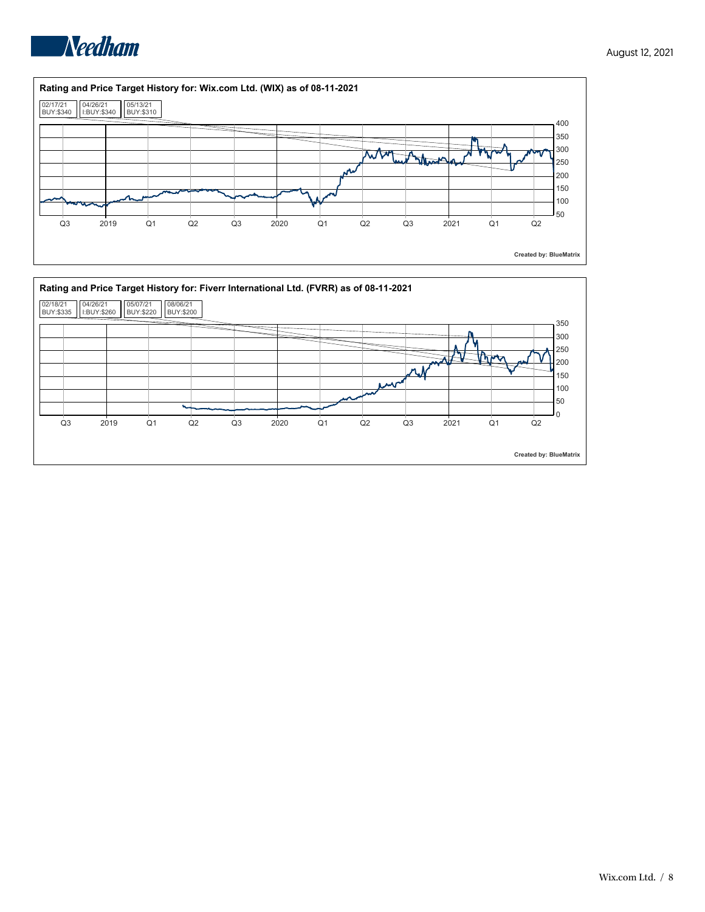



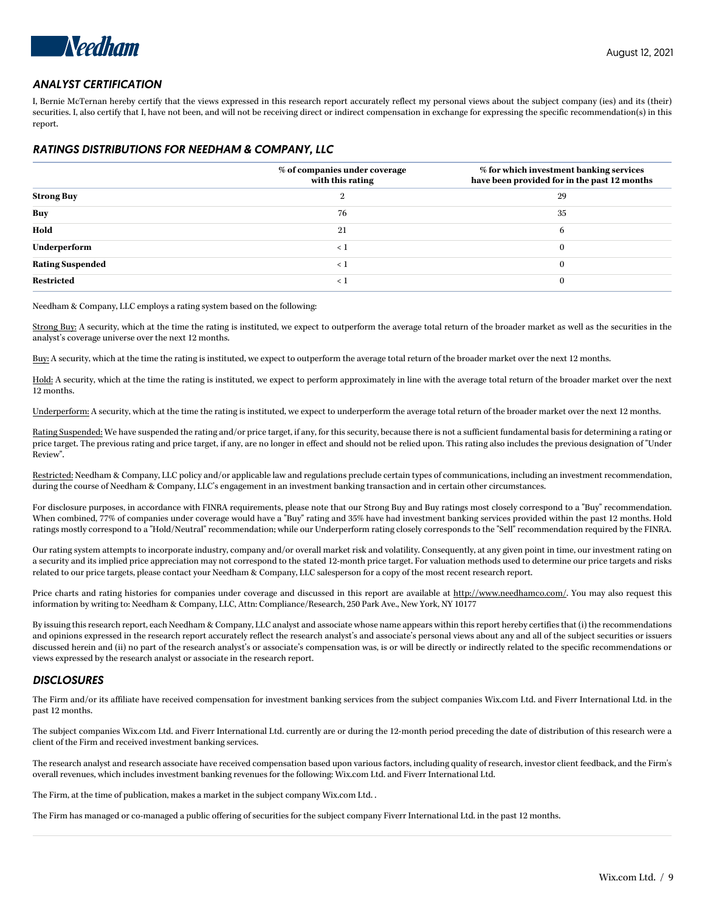

## *ANALYST CERTIFICATION*

I, Bernie McTernan hereby certify that the views expressed in this research report accurately reflect my personal views about the subject company (ies) and its (their) securities. I, also certify that I, have not been, and will not be receiving direct or indirect compensation in exchange for expressing the specific recommendation(s) in this report.

#### *RATINGS DISTRIBUTIONS FOR NEEDHAM & COMPANY, LLC*

|                         | % of companies under coverage<br>with this rating | % for which investment banking services<br>have been provided for in the past 12 months |
|-------------------------|---------------------------------------------------|-----------------------------------------------------------------------------------------|
| <b>Strong Buy</b>       |                                                   | 29                                                                                      |
| <b>Buy</b>              | 76                                                | 35                                                                                      |
| Hold                    | 21                                                | 6                                                                                       |
| Underperform            | $\langle$ 1                                       | $\Omega$                                                                                |
| <b>Rating Suspended</b> | $\langle$ 1                                       | $\Omega$                                                                                |
| <b>Restricted</b>       | $\langle$ 1                                       |                                                                                         |

Needham & Company, LLC employs a rating system based on the following:

Strong Buy: A security, which at the time the rating is instituted, we expect to outperform the average total return of the broader market as well as the securities in the analyst's coverage universe over the next 12 months.

Buy: A security, which at the time the rating is instituted, we expect to outperform the average total return of the broader market over the next 12 months.

Hold: A security, which at the time the rating is instituted, we expect to perform approximately in line with the average total return of the broader market over the next 12 months.

Underperform: A security, which at the time the rating is instituted, we expect to underperform the average total return of the broader market over the next 12 months.

Rating Suspended: We have suspended the rating and/or price target, if any, for this security, because there is not a sufficient fundamental basis for determining a rating or price target. The previous rating and price target, if any, are no longer in effect and should not be relied upon. This rating also includes the previous designation of "Under Review".

Restricted: Needham & Company, LLC policy and/or applicable law and regulations preclude certain types of communications, including an investment recommendation, during the course of Needham & Company, LLC's engagement in an investment banking transaction and in certain other circumstances.

For disclosure purposes, in accordance with FINRA requirements, please note that our Strong Buy and Buy ratings most closely correspond to a "Buy" recommendation. When combined, 77% of companies under coverage would have a "Buy" rating and 35% have had investment banking services provided within the past 12 months. Hold ratings mostly correspond to a "Hold/Neutral" recommendation; while our Underperform rating closely corresponds to the "Sell" recommendation required by the FINRA.

Our rating system attempts to incorporate industry, company and/or overall market risk and volatility. Consequently, at any given point in time, our investment rating on a security and its implied price appreciation may not correspond to the stated 12-month price target. For valuation methods used to determine our price targets and risks related to our price targets, please contact your Needham & Company, LLC salesperson for a copy of the most recent research report.

Price charts and rating histories for companies under coverage and discussed in this report are available at <http://www.needhamco.com/>. You may also request this information by writing to: Needham & Company, LLC, Attn: Compliance/Research, 250 Park Ave., New York, NY 10177

By issuing this research report, each Needham & Company, LLC analyst and associate whose name appears within this report hereby certifies that (i) the recommendations and opinions expressed in the research report accurately reflect the research analyst's and associate's personal views about any and all of the subject securities or issuers discussed herein and (ii) no part of the research analyst's or associate's compensation was, is or will be directly or indirectly related to the specific recommendations or views expressed by the research analyst or associate in the research report.

#### *DISCLOSURES*

The Firm and/or its affiliate have received compensation for investment banking services from the subject companies Wix.com Ltd. and Fiverr International Ltd. in the past 12 months.

The subject companies Wix.com Ltd. and Fiverr International Ltd. currently are or during the 12-month period preceding the date of distribution of this research were a client of the Firm and received investment banking services.

The research analyst and research associate have received compensation based upon various factors, including quality of research, investor client feedback, and the Firm's overall revenues, which includes investment banking revenues for the following: Wix.com Ltd. and Fiverr International Ltd.

The Firm, at the time of publication, makes a market in the subject company Wix.com Ltd. .

The Firm has managed or co-managed a public offering of securities for the subject company Fiverr International Ltd. in the past 12 months.